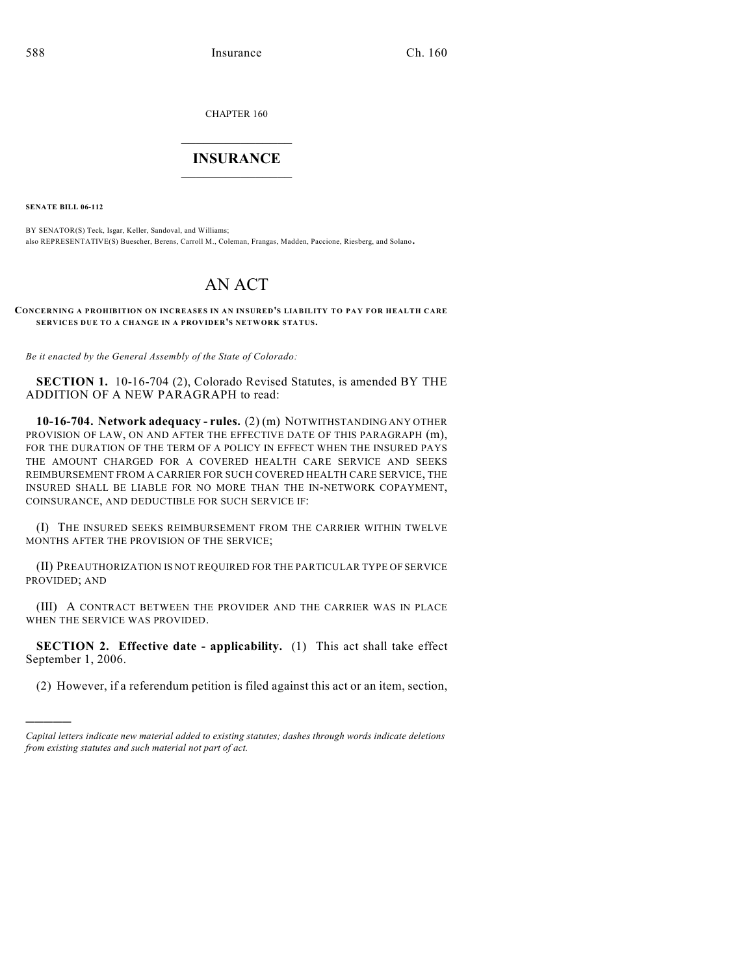CHAPTER 160

## $\overline{\phantom{a}}$  . The set of the set of the set of the set of the set of the set of the set of the set of the set of the set of the set of the set of the set of the set of the set of the set of the set of the set of the set o **INSURANCE**  $\frac{1}{2}$  ,  $\frac{1}{2}$  ,  $\frac{1}{2}$  ,  $\frac{1}{2}$  ,  $\frac{1}{2}$  ,  $\frac{1}{2}$  ,  $\frac{1}{2}$

**SENATE BILL 06-112**

)))))

BY SENATOR(S) Teck, Isgar, Keller, Sandoval, and Williams; also REPRESENTATIVE(S) Buescher, Berens, Carroll M., Coleman, Frangas, Madden, Paccione, Riesberg, and Solano.

## AN ACT

**CONCERNING A PROHIBITION ON INCREASES IN AN INSURED'S LIABILITY TO PAY FOR HEALTH CARE SERVICES DUE TO A CHANGE IN A PROVIDER'S NETWORK STATUS.**

*Be it enacted by the General Assembly of the State of Colorado:*

**SECTION 1.** 10-16-704 (2), Colorado Revised Statutes, is amended BY THE ADDITION OF A NEW PARAGRAPH to read:

**10-16-704. Network adequacy - rules.** (2) (m) NOTWITHSTANDING ANY OTHER PROVISION OF LAW, ON AND AFTER THE EFFECTIVE DATE OF THIS PARAGRAPH (m), FOR THE DURATION OF THE TERM OF A POLICY IN EFFECT WHEN THE INSURED PAYS THE AMOUNT CHARGED FOR A COVERED HEALTH CARE SERVICE AND SEEKS REIMBURSEMENT FROM A CARRIER FOR SUCH COVERED HEALTH CARE SERVICE, THE INSURED SHALL BE LIABLE FOR NO MORE THAN THE IN-NETWORK COPAYMENT, COINSURANCE, AND DEDUCTIBLE FOR SUCH SERVICE IF:

(I) THE INSURED SEEKS REIMBURSEMENT FROM THE CARRIER WITHIN TWELVE MONTHS AFTER THE PROVISION OF THE SERVICE;

(II) PREAUTHORIZATION IS NOT REQUIRED FOR THE PARTICULAR TYPE OF SERVICE PROVIDED; AND

(III) A CONTRACT BETWEEN THE PROVIDER AND THE CARRIER WAS IN PLACE WHEN THE SERVICE WAS PROVIDED.

**SECTION 2. Effective date - applicability.** (1) This act shall take effect September 1, 2006.

(2) However, if a referendum petition is filed against this act or an item, section,

*Capital letters indicate new material added to existing statutes; dashes through words indicate deletions from existing statutes and such material not part of act.*